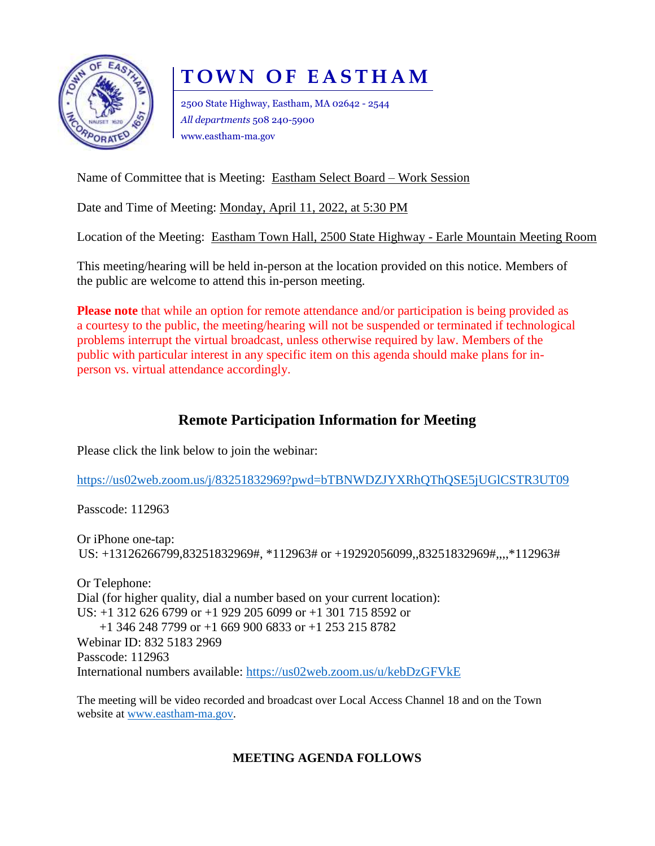

# **T O W N O F E A S T H A M**

2500 State Highway, Eastham, MA 02642 - 2544 *All departments* 508 240-5900 www.eastham-ma.gov

Name of Committee that is Meeting: Eastham Select Board – Work Session

Date and Time of Meeting: Monday, April 11, 2022, at 5:30 PM

Location of the Meeting: Eastham Town Hall, 2500 State Highway - Earle Mountain Meeting Room

This meeting/hearing will be held in-person at the location provided on this notice. Members of the public are welcome to attend this in-person meeting.

**Please note** that while an option for remote attendance and/or participation is being provided as a courtesy to the public, the meeting/hearing will not be suspended or terminated if technological problems interrupt the virtual broadcast, unless otherwise required by law. Members of the public with particular interest in any specific item on this agenda should make plans for inperson vs. virtual attendance accordingly.

# **Remote Participation Information for Meeting**

Please click the link below to join the webinar:

<https://us02web.zoom.us/j/83251832969?pwd=bTBNWDZJYXRhQThQSE5jUGlCSTR3UT09>

Passcode: 112963

Or iPhone one-tap: US: +13126266799,83251832969#, \*112963# or +19292056099,,83251832969#,,,,\*112963#

Or Telephone: Dial (for higher quality, dial a number based on your current location): US: +1 312 626 6799 or +1 929 205 6099 or +1 301 715 8592 or +1 346 248 7799 or +1 669 900 6833 or +1 253 215 8782 Webinar ID: 832 5183 2969 Passcode: 112963 International numbers available:<https://us02web.zoom.us/u/kebDzGFVkE>

The meeting will be video recorded and broadcast over Local Access Channel 18 and on the Town website at [www.eastham-ma.gov.](http://www.eastham-ma.gov/)

# **MEETING AGENDA FOLLOWS**